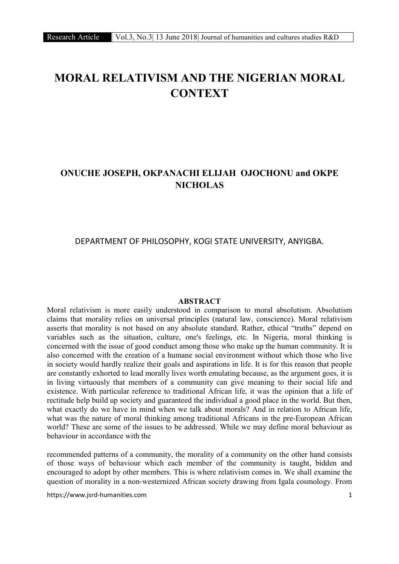# MORAL RELATIVISM AND THE NIGERIAN MORAL **CONTEXT**

# ONUCHE JOSEPH, OKPANACHI ELIJAH OJOCHONU and OKPE NICHOLAS

## DEPARTMENT OF PHILOSOPHY, KOGI STATE UNIVERSITY, ANYIGBA.

#### ABSTRACT

Moral relativism is more easily understood in comparison to moral absolutism. Absolutism claims that morality relies on universal principles (natural law, conscience). Moral relativism asserts that morality is not based on any absolute standard. Rather, ethical "truths" depend on variables such as the situation, culture, one's feelings, etc. In Nigeria, moral thinking is concerned with the issue of good conduct among those who make up the human community. It is also concerned with the creation of a humane social environment without which those who live in society would hardly realize their goals and aspirations in life. It is for this reason that people are constantly exhorted to lead morally lives worth emulating because, as the argument goes, it is in living virtuously that members of a community can give meaning to their social life and existence. With particular reference to traditional African life, it was the opinion that a life of rectitude help build up society and guaranteed the individual a good place in the world. But then, what exactly do we have in mind when we talk about morals? And in relation to African life, what was the nature of moral thinking among traditional Africans in the pre-European African world? These are some of the issues to be addressed. While we may define moral behaviour as behaviour in accordance with the

recommended patterns of a community, the morality of a community on the other hand consists of those ways of behaviour which each member of the community is taught, bidden and encouraged to adopt by other members. This is where relativism comes in. We shall examine the question of morality in a non‐westernized African society drawing from Igala cosmology. From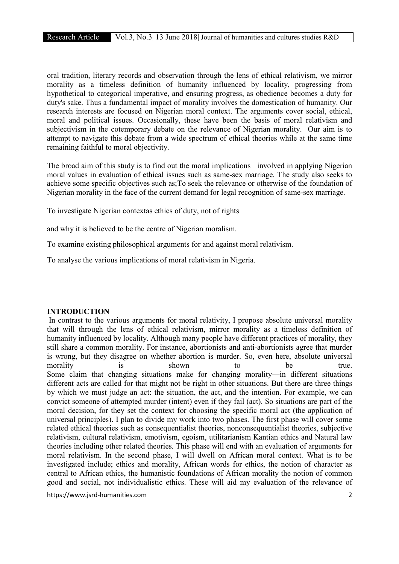oral tradition, literary records and observation through the lens of ethical relativism, we mirror morality as a timeless definition of humanity influenced by locality, progressing from hypothetical to categorical imperative, and ensuring progress, as obedience becomes a duty for duty's sake. Thus a fundamental impact of morality involves the domestication of humanity. Our research interests are focused on Nigerian moral context. The arguments cover social, ethical, moral and political issues. Occasionally, these have been the basis of moral relativism and subjectivism in the cotemporary debate on the relevance of Nigerian morality. Our aim is to attempt to navigate this debate from a wide spectrum of ethical theories while at the same time remaining faithful to moral objectivity.

The broad aim of this study is to find out the moral implications involved in applying Nigerian moral values in evaluation of ethical issues such as same-sex marriage. The study also seeks to achieve some specific objectives such as;To seek the relevance or otherwise of the foundation of Nigerian morality in the face of the current demand for legal recognition of same-sex marriage.

To investigate Nigerian contextas ethics of duty, not of rights

and why it is believed to be the centre of Nigerian moralism.

To examine existing philosophical arguments for and against moral relativism.

To analyse the various implications of moral relativism in Nigeria.

## INTRODUCTION

In contrast to the various arguments for moral relativity, I propose absolute universal morality that will through the lens of ethical relativism, mirror morality as a timeless definition of humanity influenced by locality. Although many people have different practices of morality, they still share a common morality. For instance, abortionists and anti-abortionists agree that murder is wrong, but they disagree on whether abortion is murder. So, even here, absolute universal morality is shown to be true. Some claim that changing situations make for changing morality—in different situations different acts are called for that might not be right in other situations. But there are three things by which we must judge an act: the situation, the act, and the intention. For example, we can convict someone of attempted murder (intent) even if they fail (act). So situations are part of the moral decision, for they set the context for choosing the specific moral act (the application of universal principles). I plan to divide my work into two phases. The first phase will cover some related ethical theories such as consequentialist theories, nonconsequentialist theories, subjective relativism, cultural relativism, emotivism, egoism, utilitarianism Kantian ethics and Natural law theories including other related theories. This phase will end with an evaluation of arguments for moral relativism. In the second phase, I will dwell on African moral context. What is to be investigated include; ethics and morality, African words for ethics, the notion of character as central to African ethics, the humanistic foundations of African morality the notion of common good and social, not individualistic ethics. These will aid my evaluation of the relevance of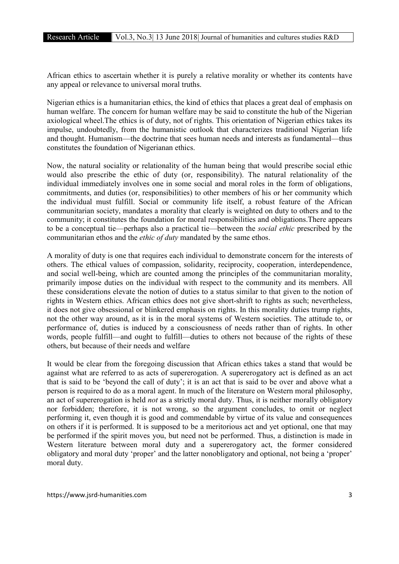African ethics to ascertain whether it is purely a relative morality or whether its contents have any appeal or relevance to universal moral truths.

Nigerian ethics is a humanitarian ethics, the kind of ethics that places a great deal of emphasis on human welfare. The concern for human welfare may be said to constitute the hub of the Nigerian axiological wheel.The ethics is of duty, not of rights. This orientation of Nigerian ethics takes its impulse, undoubtedly, from the humanistic outlook that characterizes traditional Nigerian life and thought. Humanism—the doctrine that sees human needs and interests as fundamental—thus constitutes the foundation of Nigerianan ethics.

Now, the natural sociality or relationality of the human being that would prescribe social ethic would also prescribe the ethic of duty (or, responsibility). The natural relationality of the individual immediately involves one in some social and moral roles in the form of obligations, commitments, and duties (or, responsibilities) to other members of his or her community which the individual must fulfill. Social or community life itself, a robust feature of the African communitarian society, mandates a morality that clearly is weighted on duty to others and to the community; it constitutes the foundation for moral responsibilities and obligations.There appears to be a conceptual tie—perhaps also a practical tie—between the *social ethic* prescribed by the communitarian ethos and the *ethic of duty* mandated by the same ethos.

A morality of duty is one that requires each individual to demonstrate concern for the interests of others. The ethical values of compassion, solidarity, reciprocity, cooperation, interdependence, and social well-being, which are counted among the principles of the communitarian morality, primarily impose duties on the individual with respect to the community and its members. All these considerations elevate the notion of duties to a status similar to that given to the notion of rights in Western ethics. African ethics does not give short-shrift to rights as such; nevertheless, it does not give obsessional or blinkered emphasis on rights. In this morality duties trump rights, not the other way around, as it is in the moral systems of Western societies. The attitude to, or performance of, duties is induced by a consciousness of needs rather than of rights. In other words, people fulfill—and ought to fulfill—duties to others not because of the rights of these others, but because of their needs and welfare

It would be clear from the foregoing discussion that African ethics takes a stand that would be against what are referred to as acts of supererogation. A supererogatory act is defined as an act that is said to be 'beyond the call of duty'; it is an act that is said to be over and above what a person is required to do as a moral agent. In much of the literature on Western moral philosophy, an act of supererogation is held *not* as a strictly moral duty. Thus, it is neither morally obligatory nor forbidden; therefore, it is not wrong, so the argument concludes, to omit or neglect performing it, even though it is good and commendable by virtue of its value and consequences on others if it is performed. It is supposed to be a meritorious act and yet optional, one that may be performed if the spirit moves you, but need not be performed. Thus, a distinction is made in Western literature between moral duty and a supererogatory act, the former considered obligatory and moral duty 'proper' and the latter nonobligatory and optional, not being a 'proper' moral duty.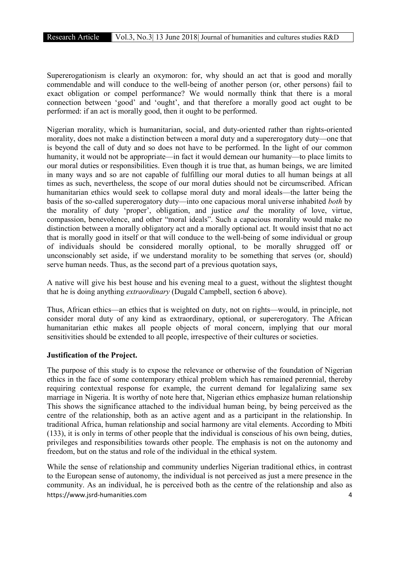Supererogationism is clearly an oxymoron: for, why should an act that is good and morally commendable and will conduce to the well-being of another person (or, other persons) fail to exact obligation or compel performance? We would normally think that there is a moral connection between 'good' and 'ought', and that therefore a morally good act ought to be performed: if an act is morally good, then it ought to be performed.

Nigerian morality, which is humanitarian, social, and duty-oriented rather than rights-oriented morality, does not make a distinction between a moral duty and a supererogatory duty—one that is beyond the call of duty and so does not have to be performed. In the light of our common humanity, it would not be appropriate—in fact it would demean our humanity—to place limits to our moral duties or responsibilities. Even though it is true that, as human beings, we are limited in many ways and so are not capable of fulfilling our moral duties to all human beings at all times as such, nevertheless, the scope of our moral duties should not be circumscribed. African humanitarian ethics would seek to collapse moral duty and moral ideals—the latter being the basis of the so-called supererogatory duty—into one capacious moral universe inhabited *both* by the morality of duty 'proper', obligation, and justice *and* the morality of love, virtue, compassion, benevolence, and other "moral ideals". Such a capacious morality would make no distinction between a morally obligatory act and a morally optional act. It would insist that no act that is morally good in itself or that will conduce to the well-being of some individual or group of individuals should be considered morally optional, to be morally shrugged off or unconscionably set aside, if we understand morality to be something that serves (or, should) serve human needs. Thus, as the second part of a previous quotation says,

A native will give his best house and his evening meal to a guest, without the slightest thought that he is doing anything *extraordinary* (Dugald Campbell, section 6 above).

Thus, African ethics—an ethics that is weighted on duty, not on rights—would, in principle, not consider moral duty of any kind as extraordinary, optional, or supererogatory. The African humanitarian ethic makes all people objects of moral concern, implying that our moral sensitivities should be extended to all people, irrespective of their cultures or societies.

## Justification of the Project.

The purpose of this study is to expose the relevance or otherwise of the foundation of Nigerian ethics in the face of some contemporary ethical problem which has remained perennial, thereby requiring contextual response for example, the current demand for legalalizing same sex marriage in Nigeria. It is worthy of note here that, Nigerian ethics emphasize human relationship This shows the significance attached to the individual human being, by being perceived as the centre of the relationship, both as an active agent and as a participant in the relationship. In traditional Africa, human relationship and social harmony are vital elements. According to Mbiti (133), it is only in terms of other people that the individual is conscious of his own being, duties, privileges and responsibilities towards other people. The emphasis is not on the autonomy and freedom, but on the status and role of the individual in the ethical system.

https://www.jsrd-humanities.com 4 While the sense of relationship and community underlies Nigerian traditional ethics, in contrast to the European sense of autonomy, the individual is not perceived as just a mere presence in the community. As an individual, he is perceived both as the centre of the relationship and also as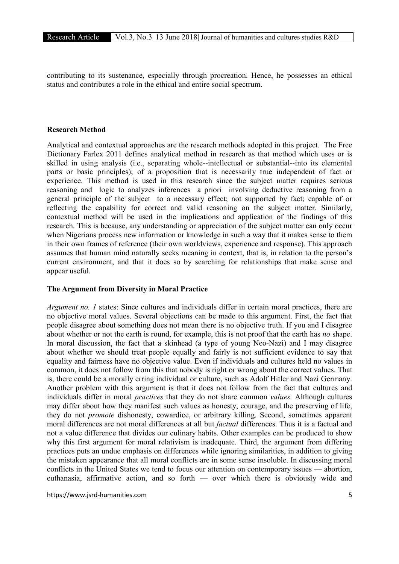contributing to its sustenance, especially through procreation. Hence, he possesses an ethical status and contributes a role in the ethical and entire social spectrum.

## Research Method

Analytical and contextual approaches are the research methods adopted in this project. The Free Dictionary Farlex 2011 defines analytical method in research as that method which uses or is skilled in using analysis (i.e., separating whole--intellectual or substantial--into its elemental parts or basic principles); of a proposition that is necessarily true independent of fact or experience. This method is used in this research since the subject matter requires serious reasoning and logic to analyzes inferences a priori involving deductive reasoning from a general principle of the subject to a necessary effect; not supported by fact; capable of or reflecting the capability for correct and valid reasoning on the subject matter. Similarly, contextual method will be used in the implications and application of the findings of this research. This is because, any understanding or appreciation of the subject matter can only occur when Nigerians process new information or knowledge in such a way that it makes sense to them in their own frames of reference (their own worldviews, experience and response). This approach assumes that human mind naturally seeks meaning in context, that is, in relation to the person's current environment, and that it does so by searching for relationships that make sense and appear useful.

## The Argument from Diversity in Moral Practice

*Argument no. 1* states: Since cultures and individuals differ in certain moral practices, there are no objective moral values. Several objections can be made to this argument. First, the fact that people disagree about something does not mean there is no objective truth. If you and I disagree about whether or not the earth is round, for example, this is not proof that the earth has *no* shape. In moral discussion, the fact that a skinhead (a type of young Neo-Nazi) and I may disagree about whether we should treat people equally and fairly is not sufficient evidence to say that equality and fairness have no objective value. Even if individuals and cultures held no values in common, it does not follow from this that nobody is right or wrong about the correct values. That is, there could be a morally erring individual or culture, such as Adolf Hitler and Nazi Germany. Another problem with this argument is that it does not follow from the fact that cultures and individuals differ in moral *practices* that they do not share common *values.* Although cultures may differ about how they manifest such values as honesty, courage, and the preserving of life, they do not *promote* dishonesty, cowardice, or arbitrary killing. Second, sometimes apparent moral differences are not moral differences at all but *factual* differences. Thus it is a factual and not a value difference that divides our culinary habits. Other examples can be produced to show why this first argument for moral relativism is inadequate. Third, the argument from differing practices puts an undue emphasis on differences while ignoring similarities, in addition to giving the mistaken appearance that all moral conflicts are in some sense insoluble. In discussing moral conflicts in the United States we tend to focus our attention on contemporary issues — abortion, euthanasia, affirmative action, and so forth — over which there is obviously wide and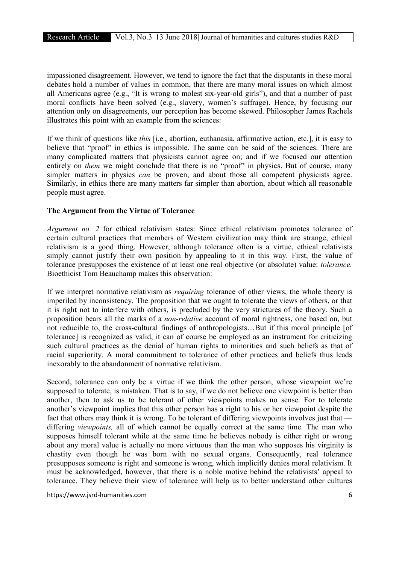impassioned disagreement. However, we tend to ignore the fact that the disputants in these moral debates hold a number of values in common, that there are many moral issues on which almost all Americans agree (e.g., "It is wrong to molest six-year-old girls"), and that a number of past moral conflicts have been solved (e.g., slavery, women's suffrage). Hence, by focusing our attention only on disagreements, our perception has become skewed. Philosopher James Rachels illustrates this point with an example from the sciences:

If we think of questions like *this* [i.e., abortion, euthanasia, affirmative action, etc.], it is easy to believe that "proof" in ethics is impossible. The same can be said of the sciences. There are many complicated matters that physicists cannot agree on; and if we focused our attention entirely on *them* we might conclude that there is no "proof" in physics. But of course, many simpler matters in physics *can* be proven, and about those all competent physicists agree. Similarly, in ethics there are many matters far simpler than abortion, about which all reasonable people must agree.

## The Argument from the Virtue of Tolerance

*Argument no. 2* for ethical relativism states: Since ethical relativism promotes tolerance of certain cultural practices that members of Western civilization may think are strange, ethical relativism is a good thing. However, although tolerance often is a virtue, ethical relativists simply cannot justify their own position by appealing to it in this way. First, the value of tolerance presupposes the existence of at least one real objective (or absolute) value: *tolerance.* Bioethicist Tom Beauchamp makes this observation:

If we interpret normative relativism as *requiring* tolerance of other views, the whole theory is imperiled by inconsistency. The proposition that we ought to tolerate the views of others, or that it is right not to interfere with others, is precluded by the very strictures of the theory. Such a proposition bears all the marks of a *non-relative* account of moral rightness, one based on, but not reducible to, the cross-cultural findings of anthropologists...But if this moral principle [of tolerance] is recognized as valid, it can of course be employed as an instrument for criticizing such cultural practices as the denial of human rights to minorities and such beliefs as that of racial superiority. A moral commitment to tolerance of other practices and beliefs thus leads inexorably to the abandonment of normative relativism.

Second, tolerance can only be a virtue if we think the other person, whose viewpoint we're supposed to tolerate, is mistaken. That is to say, if we do not believe one viewpoint is better than another, then to ask us to be tolerant of other viewpoints makes no sense. For to tolerate another's viewpoint implies that this other person has a right to his or her viewpoint despite the fact that others may think it is wrong. To be tolerant of differing viewpoints involves just that differing *viewpoints,* all of which cannot be equally correct at the same time. The man who supposes himself tolerant while at the same time he believes nobody is either right or wrong about any moral value is actually no more virtuous than the man who supposes his virginity is chastity even though he was born with no sexual organs. Consequently, real tolerance presupposes someone is right and someone is wrong, which implicitly denies moral relativism. It must be acknowledged, however, that there is a noble motive behind the relativists' appeal to tolerance. They believe their view of tolerance will help us to better understand other cultures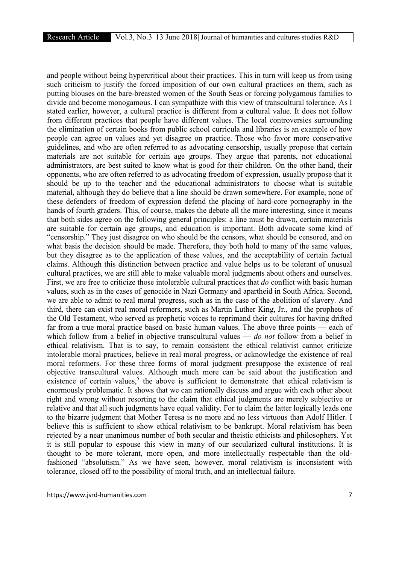and people without being hypercritical about their practices. This in turn will keep us from using such criticism to justify the forced imposition of our own cultural practices on them, such as putting blouses on the bare-breasted women of the South Seas or forcing polygamous families to divide and become monogamous. I can sympathize with this view of transcultural tolerance. As I stated earlier, however, a cultural practice is different from a cultural value. It does not follow from different practices that people have different values. The local controversies surrounding the elimination of certain books from public school curricula and libraries is an example of how people can agree on values and yet disagree on practice. Those who favor more conservative guidelines, and who are often referred to as advocating censorship, usually propose that certain materials are not suitable for certain age groups. They argue that parents, not educational administrators, are best suited to know what is good for their children. On the other hand, their opponents, who are often referred to as advocating freedom of expression, usually propose that it should be up to the teacher and the educational administrators to choose what is suitable material, although they do believe that a line should be drawn somewhere. For example, none of these defenders of freedom of expression defend the placing of hard-core pornography in the hands of fourth graders. This, of course, makes the debate all the more interesting, since it means that both sides agree on the following general principles: a line must be drawn, certain materials are suitable for certain age groups, and education is important. Both advocate some kind of "censorship." They just disagree on who should be the censors, what should be censored, and on what basis the decision should be made. Therefore, they both hold to many of the same values, but they disagree as to the application of these values, and the acceptability of certain factual claims. Although this distinction between practice and value helps us to be tolerant of unusual cultural practices, we are still able to make valuable moral judgments about others and ourselves. First, we are free to criticize those intolerable cultural practices that *do* conflict with basic human values, such as in the cases of genocide in Nazi Germany and apartheid in South Africa. Second, we are able to admit to real moral progress, such as in the case of the abolition of slavery. And third, there can exist real moral reformers, such as Martin Luther King, Jr., and the prophets of the Old Testament, who served as prophetic voices to reprimand their cultures for having drifted far from a true moral practice based on basic human values. The above three points — each of which follow from a belief in objective transcultural values — *do not* follow from a belief in ethical relativism. That is to say, to remain consistent the ethical relativist cannot criticize intolerable moral practices, believe in real moral progress, or acknowledge the existence of real moral reformers. For these three forms of moral judgment presuppose the existence of real objective transcultural values. Although much more can be said about the justification and existence of certain values,<sup>5</sup> the above is sufficient to demonstrate that ethical relativism is enormously problematic. It shows that we can rationally discuss and argue with each other about right and wrong without resorting to the claim that ethical judgments are merely subjective or relative and that all such judgments have equal validity. For to claim the latter logically leads one to the bizarre judgment that Mother Teresa is no more and no less virtuous than Adolf Hitler. I believe this is sufficient to show ethical relativism to be bankrupt. Moral relativism has been rejected by a near unanimous number of both secular and theistic ethicists and philosophers. Yet it is still popular to espouse this view in many of our secularized cultural institutions. It is thought to be more tolerant, more open, and more intellectually respectable than the oldfashioned "absolutism." As we have seen, however, moral relativism is inconsistent with tolerance, closed off to the possibility of moral truth, and an intellectual failure.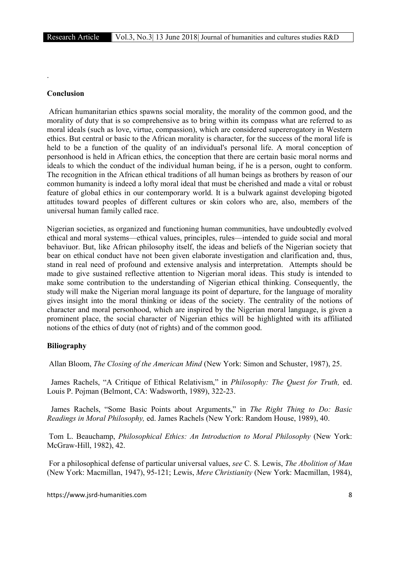#### Conclusion

.

African humanitarian ethics spawns social morality, the morality of the common good, and the morality of duty that is so comprehensive as to bring within its compass what are referred to as moral ideals (such as love, virtue, compassion), which are considered supererogatory in Western ethics. But central or basic to the African morality is character, for the success of the moral life is held to be a function of the quality of an individual's personal life. A moral conception of personhood is held in African ethics, the conception that there are certain basic moral norms and ideals to which the conduct of the individual human being, if he is a person, ought to conform. The recognition in the African ethical traditions of all human beings as brothers by reason of our common humanity is indeed a lofty moral ideal that must be cherished and made a vital or robust feature of global ethics in our contemporary world. It is a bulwark against developing bigoted attitudes toward peoples of different cultures or skin colors who are, also, members of the universal human family called race.

Nigerian societies, as organized and functioning human communities, have undoubtedly evolved ethical and moral systems—ethical values, principles, rules—intended to guide social and moral behaviuor. But, like African philosophy itself, the ideas and beliefs of the Nigerian society that bear on ethical conduct have not been given elaborate investigation and clarification and, thus, stand in real need of profound and extensive analysis and interpretation. Attempts should be made to give sustained reflective attention to Nigerian moral ideas. This study is intended to make some contribution to the understanding of Nigerian ethical thinking. Consequently, the study will make the Nigerian moral language its point of departure, for the language of morality gives insight into the moral thinking or ideas of the society. The centrality of the notions of character and moral personhood, which are inspired by the Nigerian moral language, is given a prominent place, the social character of Nigerian ethics will be highlighted with its affiliated notions of the ethics of duty (not of rights) and of the common good.

#### Biliography

Allan Bloom, *The Closing of the American Mind* (New York: Simon and Schuster, 1987), 25.

 James Rachels, "A Critique of Ethical Relativism," in *Philosophy: The Quest for Truth,* ed. Louis P. Pojman (Belmont, CA: Wadsworth, 1989), 322-23.

 James Rachels, "Some Basic Points about Arguments," in *The Right Thing to Do: Basic Readings in Moral Philosophy,* ed. James Rachels (New York: Random House, 1989), 40.

Tom L. Beauchamp, *Philosophical Ethics: An Introduction to Moral Philosophy* (New York: McGraw-Hill, 1982), 42.

For a philosophical defense of particular universal values, *see* C. S. Lewis, *The Abolition of Man* (New York: Macmillan, 1947), 95-121; Lewis, *Mere Christianity* (New York: Macmillan, 1984),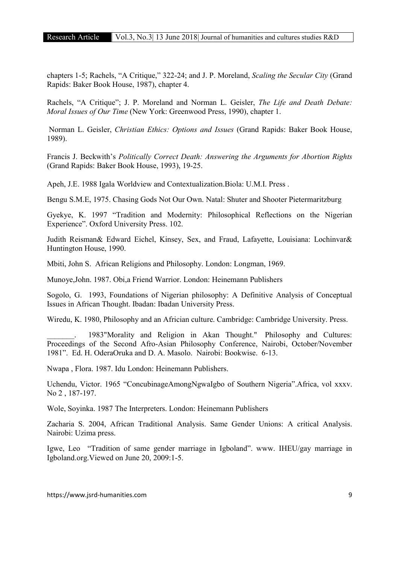chapters 1-5; Rachels, "A Critique," 322-24; and J. P. Moreland, *Scaling the Secular City* (Grand Rapids: Baker Book House, 1987), chapter 4.

Rachels, "A Critique"; J. P. Moreland and Norman L. Geisler, *The Life and Death Debate: Moral Issues of Our Time* (New York: Greenwood Press, 1990), chapter 1.

Norman L. Geisler, *Christian Ethics: Options and Issues* (Grand Rapids: Baker Book House, 1989).

Francis J. Beckwith's *Politically Correct Death: Answering the Arguments for Abortion Rights* (Grand Rapids: Baker Book House, 1993), 19-25.

Apeh, J.E. 1988 Igala Worldview and Contextualization.Biola: U.M.I. Press .

Bengu S.M.E, 1975. Chasing Gods Not Our Own. Natal: Shuter and Shooter Pietermaritzburg

Gyekye, K. 1997 "Tradition and Modernity: Philosophical Reflections on the Nigerian Experience". Oxford University Press. 102.

Judith Reisman& Edward Eichel, Kinsey, Sex, and Fraud, Lafayette, Louisiana: Lochinvar& Huntington House, 1990.

Mbiti, John S. African Religions and Philosophy. London: Longman, 1969.

Munoye,John. 1987. Obi,a Friend Warrior. London: Heinemann Publishers

Sogolo, G. 1993, Foundations of Nigerian philosophy: A Definitive Analysis of Conceptual Issues in African Thought. Ibadan: Ibadan University Press.

Wiredu, K. 1980, Philosophy and an Africian culture. Cambridge: Cambridge University. Press.

1983"Morality and Religion in Akan Thought." Philosophy and Cultures: Proceedings of the Second Afro-Asian Philosophy Conference, Nairobi, October/November 1981". Ed. H. OderaOruka and D. A. Masolo. Nairobi: Bookwise. 6-13.

Nwapa , Flora. 1987. Idu London: Heinemann Publishers.

Uchendu, Victor. 1965 "ConcubinageAmongNgwaIgbo of Southern Nigeria".Africa, vol xxxv. No 2 , 187-197.

Wole, Soyinka. 1987 The Interpreters. London: Heinemann Publishers

Zacharia S. 2004, African Traditional Analysis. Same Gender Unions: A critical Analysis. Nairobi: Uzima press.

Igwe, Leo "Tradition of same gender marriage in Igboland". www. IHEU/gay marriage in Igboland.org.Viewed on June 20, 2009:1-5.